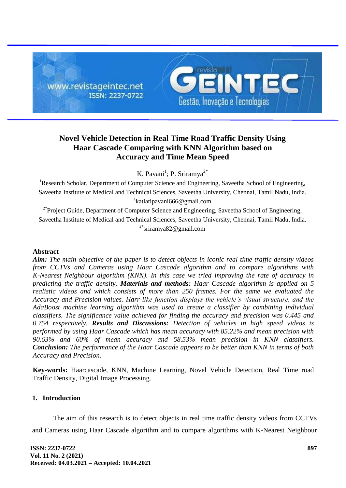

# **Novel Vehicle Detection in Real Time Road Traffic Density Using Haar Cascade Comparing with KNN Algorithm based on Accuracy and Time Mean Speed**

K. Pavani<sup>1</sup>; P. Sriramya<sup>2\*</sup>

<sup>1</sup>Research Scholar, Department of Computer Science and Engineering, Saveetha School of Engineering, Saveetha Institute of Medical and Technical Sciences, Saveetha University, Chennai, Tamil Nadu, India. 1 katlatipavani666@gmail.com

<sup>2\*</sup>Project Guide, Department of Computer Science and Engineering, Saveetha School of Engineering, Saveetha Institute of Medical and Technical Sciences, Saveetha University, Chennai, Tamil Nadu, India. <sup>2\*</sup>sriramya82@gmail.com

### **Abstract**

*Aim: The main objective of the paper is to detect objects in iconic real time traffic density videos from CCTVs and Cameras using Haar Cascade algorithm and to compare algorithms with K-Nearest Neighbour algorithm (KNN). In this case we tried improving the rate of accuracy in predicting the traffic density. Materials and methods: Haar Cascade algorithm is applied on 5 realistic videos and which consists of more than 250 frames. For the same we evaluated the Accuracy and Precision values. Harr-like function displays the vehicle's visual structure, and the AdaBoost machine learning algorithm was used to create a classifier by combining individual classifiers. The significance value achieved for finding the accuracy and precision was 0.445 and 0.754 respectively. Results and Discussions: Detection of vehicles in high speed videos is performed by using Haar Cascade which has mean accuracy with 85.22% and mean precision with 90.63% and 60% of mean accuracy and 58.53% mean precision in KNN classifiers. Conclusion: The performance of the Haar Cascade appears to be better than KNN in terms of both Accuracy and Precision.*

**Key-words:** Haarcascade, KNN, Machine Learning, Novel Vehicle Detection, Real Time road Traffic Density, Digital Image Processing.

# **1. Introduction**

The aim of this research is to detect objects in real time traffic density videos from CCTVs and Cameras using Haar Cascade algorithm and to compare algorithms with K-Nearest Neighbour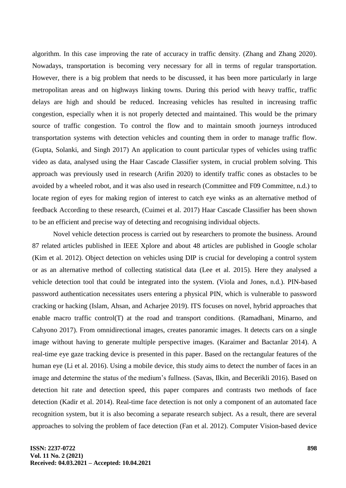algorithm. In this case improving the rate of accuracy in traffic density. (Zhang and Zhang 2020). Nowadays, transportation is becoming very necessary for all in terms of regular transportation. However, there is a big problem that needs to be discussed, it has been more particularly in large metropolitan areas and on highways linking towns. During this period with heavy traffic, traffic delays are high and should be reduced. Increasing vehicles has resulted in increasing traffic congestion, especially when it is not properly detected and maintained. This would be the primary source of traffic congestion. To control the flow and to maintain smooth journeys introduced transportation systems with detection vehicles and counting them in order to manage traffic flow. (Gupta, Solanki, and Singh 2017) An application to count particular types of vehicles using traffic video as data, analysed using the Haar Cascade Classifier system, in crucial problem solving. This approach was previously used in research (Arifin 2020) to identify traffic cones as obstacles to be avoided by a wheeled robot, and it was also used in research (Committee and F09 Committee, n.d.) to locate region of eyes for making region of interest to catch eye winks as an alternative method of feedback According to these research, (Cuimei et al. 2017) Haar Cascade Classifier has been shown to be an efficient and precise way of detecting and recognising individual objects.

Novel vehicle detection process is carried out by researchers to promote the business. Around 87 related articles published in IEEE Xplore and about 48 articles are published in Google scholar (Kim et al. 2012). Object detection on vehicles using DIP is crucial for developing a control system or as an alternative method of collecting statistical data (Lee et al. 2015). Here they analysed a vehicle detection tool that could be integrated into the system. (Viola and Jones, n.d.). PIN-based password authentication necessitates users entering a physical PIN, which is vulnerable to password cracking or hacking (Islam, Ahsan, and Acharjee 2019). ITS focuses on novel, hybrid approaches that enable macro traffic control(T) at the road and transport conditions. (Ramadhani, Minarno, and Cahyono 2017). From omnidirectional images, creates panoramic images. It detects cars on a single image without having to generate multiple perspective images. (Karaimer and Bactanlar 2014). A real-time eye gaze tracking device is presented in this paper. Based on the rectangular features of the human eye (Li et al. 2016). Using a mobile device, this study aims to detect the number of faces in an image and determine the status of the medium's fullness. (Savas, Ilkin, and Becerikli 2016). Based on detection hit rate and detection speed, this paper compares and contrasts two methods of face detection (Kadir et al. 2014). Real-time face detection is not only a component of an automated face recognition system, but it is also becoming a separate research subject. As a result, there are several approaches to solving the problem of face detection (Fan et al. 2012). Computer Vision-based device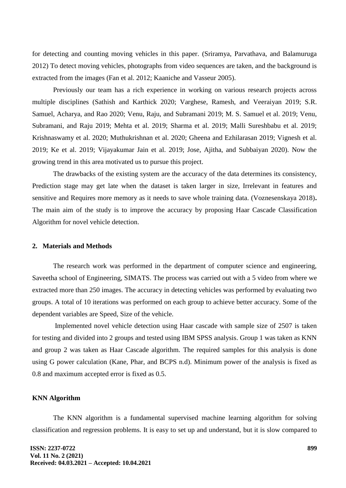for detecting and counting moving vehicles in this paper. (Sriramya, Parvathava, and Balamuruga 2012) To detect moving vehicles, photographs from video sequences are taken, and the background is extracted from the images (Fan et al. 2012; Kaaniche and Vasseur 2005).

Previously our team has a rich experience in working on various research projects across multiple disciplines (Sathish and Karthick 2020; Varghese, Ramesh, and Veeraiyan 2019; S.R. Samuel, Acharya, and Rao 2020; Venu, Raju, and Subramani 2019; M. S. Samuel et al. 2019; Venu, Subramani, and Raju 2019; Mehta et al. 2019; Sharma et al. 2019; Malli Sureshbabu et al. 2019; Krishnaswamy et al. 2020; Muthukrishnan et al. 2020; Gheena and Ezhilarasan 2019; Vignesh et al. 2019; Ke et al. 2019; Vijayakumar Jain et al. 2019; Jose, Ajitha, and Subbaiyan 2020). Now the growing trend in this area motivated us to pursue this project.

The drawbacks of the existing system are the accuracy of the data determines its consistency, Prediction stage may get late when the dataset is taken larger in size, Irrelevant in features and sensitive and Requires more memory as it needs to save whole training data. (Voznesenskaya 2018)**.**  The main aim of the study is to improve the accuracy by proposing Haar Cascade Classification Algorithm for novel vehicle detection.

#### **2. Materials and Methods**

The research work was performed in the department of computer science and engineering, Saveetha school of Engineering, SIMATS. The process was carried out with a 5 video from where we extracted more than 250 images. The accuracy in detecting vehicles was performed by evaluating two groups. A total of 10 iterations was performed on each group to achieve better accuracy. Some of the dependent variables are Speed, Size of the vehicle.

Implemented novel vehicle detection using Haar cascade with sample size of 2507 is taken for testing and divided into 2 groups and tested using IBM SPSS analysis. Group 1 was taken as KNN and group 2 was taken as Haar Cascade algorithm. The required samples for this analysis is done using G power calculation (Kane, Phar, and BCPS n.d). Minimum power of the analysis is fixed as 0.8 and maximum accepted error is fixed as 0.5.

### **KNN Algorithm**

The KNN algorithm is a fundamental supervised machine learning algorithm for solving classification and regression problems. It is easy to set up and understand, but it is slow compared to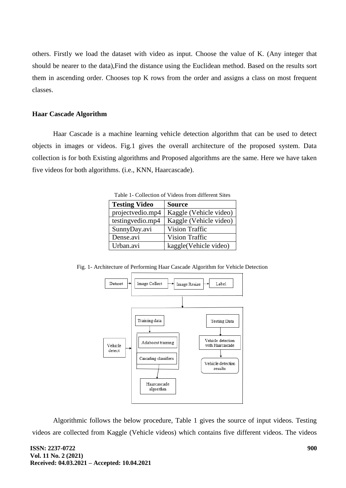others. Firstly we load the dataset with video as input. Choose the value of K. (Any integer that should be nearer to the data),Find the distance using the Euclidean method. Based on the results sort them in ascending order. Chooses top K rows from the order and assigns a class on most frequent classes.

#### **Haar Cascade Algorithm**

Haar Cascade is a machine learning vehicle detection algorithm that can be used to detect objects in images or videos. Fig.1 gives the overall architecture of the proposed system. Data collection is for both Existing algorithms and Proposed algorithms are the same. Here we have taken five videos for both algorithms. (i.e., KNN, Haarcascade).

| <b>Testing Video</b> | <b>Source</b>          |  |  |  |  |
|----------------------|------------------------|--|--|--|--|
| projectvedio.mp4     | Kaggle (Vehicle video) |  |  |  |  |
| testingvedio.mp4     | Kaggle (Vehicle video) |  |  |  |  |
| SunnyDay.avi         | <b>Vision Traffic</b>  |  |  |  |  |
| Dense.avi            | <b>Vision Traffic</b>  |  |  |  |  |
| Urban.avi            | kaggle(Vehicle video)  |  |  |  |  |

Table 1- Collection of Videos from different Sites

Fig. 1- Architecture of Performing Haar Cascade Algorithm for Vehicle Detection



Algorithmic follows the below procedure, Table 1 gives the source of input videos. Testing videos are collected from Kaggle (Vehicle videos) which contains five different videos. The videos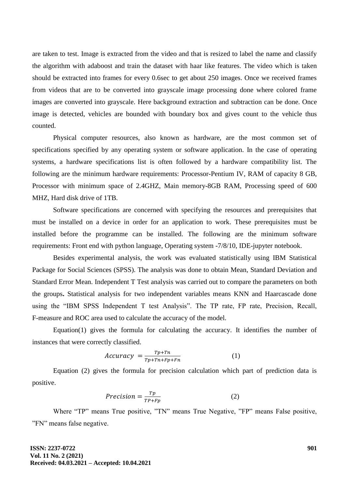are taken to test. Image is extracted from the video and that is resized to label the name and classify the algorithm with adaboost and train the dataset with haar like features. The video which is taken should be extracted into frames for every 0.6sec to get about 250 images. Once we received frames from videos that are to be converted into grayscale image processing done where colored frame images are converted into grayscale. Here background extraction and subtraction can be done. Once image is detected, vehicles are bounded with boundary box and gives count to the vehicle thus counted.

Physical computer resources, also known as hardware, are the most common set of specifications specified by any operating system or software application. In the case of operating systems, a hardware specifications list is often followed by a hardware compatibility list. The following are the minimum hardware requirements: Processor-Pentium IV, RAM of capacity 8 GB, Processor with minimum space of 2.4GHZ, Main memory-8GB RAM, Processing speed of 600 MHZ, Hard disk drive of 1TB.

Software specifications are concerned with specifying the resources and prerequisites that must be installed on a device in order for an application to work. These prerequisites must be installed before the programme can be installed. The following are the minimum software requirements: Front end with python language, Operating system -7/8/10, IDE-jupyter notebook.

Besides experimental analysis, the work was evaluated statistically using IBM Statistical Package for Social Sciences (SPSS). The analysis was done to obtain Mean, Standard Deviation and Standard Error Mean. Independent T Test analysis was carried out to compare the parameters on both the groups**.** Statistical analysis for two independent variables means KNN and Haarcascade done using the "IBM SPSS Independent T test Analysis". The TP rate, FP rate, Precision, Recall, F-measure and ROC area used to calculate the accuracy of the model.

Equation(1) gives the formula for calculating the accuracy. It identifies the number of instances that were correctly classified.

$$
Accuracy = \frac{Tp + Tn}{Tp + Tn + Fp + Fn}
$$
 (1)

Equation (2) gives the formula for precision calculation which part of prediction data is positive.

$$
Precision = \frac{Tp}{TP + Fp} \tag{2}
$$

Where "TP" means True positive, "TN" means True Negative, "FP" means False positive, "FN" means false negative.

**ISSN: 2237-0722 Vol. 11 No. 2 (2021) Received: 04.03.2021 – Accepted: 10.04.2021**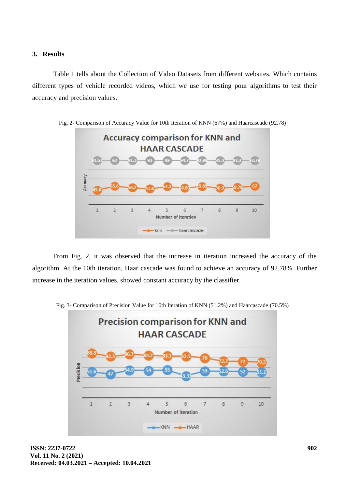#### **3. Results**

Table 1 tells about the Collection of Video Datasets from different websites. Which contains different types of vehicle recorded videos, which we use for testing pour algorithms to test their accuracy and precision values.



From Fig. 2, it was observed that the increase in iteration increased the accuracy of the algorithm. At the 10th iteration, Haar cascade was found to achieve an accuracy of 92.78%. Further increase in the iteration values, showed constant accuracy by the classifier.



Fig. 3- Comparison of Precision Value for 10th Iteration of KNN (51.2%) and Haarcascade (70.5%)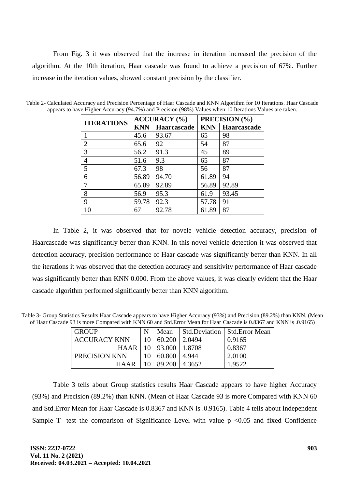From Fig. 3 it was observed that the increase in iteration increased the precision of the algorithm. At the 10th iteration, Haar cascade was found to achieve a precision of 67%. Further increase in the iteration values, showed constant precision by the classifier.

| <b>ITERATIONS</b> |            | <b>ACCURACY</b> (%) | PRECISION (%) |             |  |
|-------------------|------------|---------------------|---------------|-------------|--|
|                   | <b>KNN</b> | Haarcascade         | <b>KNN</b>    | Haarcascade |  |
|                   | 45.6       | 93.67               | 65            | 98          |  |
| $\overline{2}$    | 65.6       | 92                  | 54            | 87          |  |
| 3                 | 56.2       | 91.3                | 45            | 89          |  |
| 4                 | 51.6       | 9.3                 | 65            | 87          |  |
| 5                 | 67.3       | 98                  | 56            | 87          |  |
| 6                 | 56.89      | 94.70               | 61.89         | 94          |  |
|                   | 65.89      | 92.89               | 56.89         | 92.89       |  |
| 8                 | 56.9       | 95.3                | 61.9          | 93.45       |  |
| 9                 | 59.78      | 92.3                | 57.78         | 91          |  |
| 10                | 67         | 92.78               | 61.89         | 87          |  |

Table 2- Calculated Accuracy and Precision Percentage of Haar Cascade and KNN Algorithm for 10 Iterations. Haar Cascade appears to have Higher Accuracy (94.7%) and Precision (98%) Values when 10 Iterations Values are taken.

In Table 2, it was observed that for novele vehicle detection accuracy, precision of Haarcascade was significantly better than KNN. In this novel vehicle detection it was observed that detection accuracy, precision performance of Haar cascade was significantly better than KNN. In all the iterations it was observed that the detection accuracy and sensitivity performance of Haar cascade was significantly better than KNN 0.000. From the above values, it was clearly evident that the Haar cascade algorithm performed significantly better than KNN algorithm.

Table 3- Group Statistics Results Haar Cascade appears to have Higher Accuracy (93%) and Precision (89.2%) than KNN. (Mean of Haar Cascade 93 is more Compared with KNN 60 and Std.Error Mean for Haar Cascade is 0.8367 and KNN is .0.9165)

| <b>GROUP</b>        | N  | Mean   |         | <b>Std.Deviation   Std.Error Mean</b> |
|---------------------|----|--------|---------|---------------------------------------|
| <b>ACCURACY KNN</b> | 10 | 60.200 | 12.0494 | 0.9165                                |
| <b>HAAR</b>         | 10 | 93.000 | 1.8708  | 0.8367                                |
| PRECISION KNN       | 10 | 60.800 | 4.944   | 2.0100                                |
| <b>HAAR</b>         |    | 89.200 | 4.3652  | 1.9522                                |

Table 3 tells about Group statistics results Haar Cascade appears to have higher Accuracy (93%) and Precision (89.2%) than KNN. (Mean of Haar Cascade 93 is more Compared with KNN 60 and Std.Error Mean for Haar Cascade is 0.8367 and KNN is .0.9165). Table 4 tells about Independent Sample T- test the comparison of Significance Level with value  $p \le 0.05$  and fixed Confidence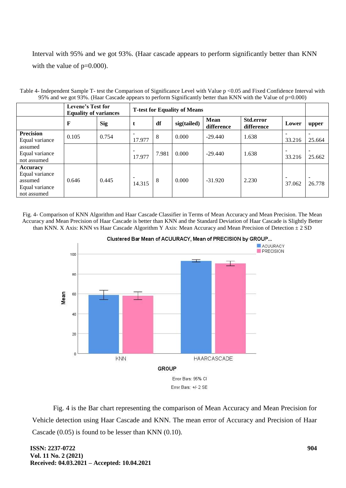Interval with 95% and we got 93%. (Haar cascade appears to perform significantly better than KNN with the value of  $p=0.000$ ).

|                                                                        | $22\%$ and we got $22\%$ . (Than Cascade appears to perform $\sigma$ ginnearity better than ix (i) with the variation $p$ – $0.000$ )<br><b>Levene's Test for</b> |            |                                     |       |             |                           |                         |                                    |        |
|------------------------------------------------------------------------|-------------------------------------------------------------------------------------------------------------------------------------------------------------------|------------|-------------------------------------|-------|-------------|---------------------------|-------------------------|------------------------------------|--------|
|                                                                        | <b>Equality of variances</b>                                                                                                                                      |            | <b>T-test for Equality of Means</b> |       |             |                           |                         |                                    |        |
|                                                                        | F                                                                                                                                                                 | <b>Sig</b> | t                                   | df    | sig(tailed) | <b>Mean</b><br>difference | Std.error<br>difference | Lower                              | upper  |
| <b>Precision</b><br>Equal variance                                     | 0.105                                                                                                                                                             | 0.754      | 17.977                              | 8     | 0.000       | $-29.440$                 | 1.638                   | 33.216                             | 25.664 |
| assumed<br>Equal variance<br>not assumed                               |                                                                                                                                                                   |            | 17.977                              | 7.981 | 0.000       | $-29.440$                 | 1.638                   | 33.216                             | 25.662 |
| Accuracy<br>Equal variance<br>assumed<br>Equal variance<br>not assumed | 0.646                                                                                                                                                             | 0.445      | 14.315                              | 8     | 0.000       | $-31.920$                 | 2.230                   | $\overline{\phantom{a}}$<br>37.062 | 26.778 |

Table 4- Independent Sample T- test the Comparison of Significance Level with Value p <0.05 and Fixed Confidence Interval with 95% and we got 93%. (Haar Cascade appears to perform Significantly better than KNN with the Value of p=0.000)

Fig. 4- Comparison of KNN Algorithm and Haar Cascade Classifier in Terms of Mean Accuracy and Mean Precision. The Mean Accuracy and Mean Precision of Haar Cascade is better than KNN and the Standard Deviation of Haar Cascade is Slightly Better than KNN. X Axis: KNN vs Haar Cascade Algorithm Y Axis: Mean Accuracy and Mean Precision of Detection  $\pm 2$  SD



Clustered Bar Mean of ACUURACY, Mean of PRECISION by GROUP...

Fig. 4 is the Bar chart representing the comparison of Mean Accuracy and Mean Precision for Vehicle detection using Haar Cascade and KNN. The mean error of Accuracy and Precision of Haar Cascade (0.05) is found to be lesser than KNN (0.10).

**ISSN: 2237-0722 Vol. 11 No. 2 (2021) Received: 04.03.2021 – Accepted: 10.04.2021**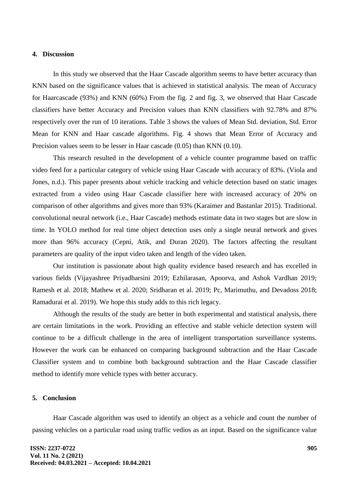#### **4. Discussion**

In this study we observed that the Haar Cascade algorithm seems to have better accuracy than KNN based on the significance values that is achieved in statistical analysis. The mean of Accuracy for Haarcascade (93%) and KNN (60%) From the fig. 2 and fig. 3, we observed that Haar Cascade classifiers have better Accuracy and Precision values than KNN classifiers with 92.78% and 87% respectively over the run of 10 iterations. Table 3 shows the values of Mean Std. deviation, Std. Error Mean for KNN and Haar cascade algorithms. Fig. 4 shows that Mean Error of Accuracy and Precision values seem to be lesser in Haar cascade (0.05) than KNN (0.10).

This research resulted in the development of a vehicle counter programme based on traffic video feed for a particular category of vehicle using Haar Cascade with accuracy of 83%. (Viola and Jones, n.d.). This paper presents about vehicle tracking and vehicle detection based on static images extracted from a video using Haar Cascade classifier here with increased accuracy of 20% on comparison of other algorithms and gives more than 93% (Karaimer and Bastanlar 2015). Traditional. convolutional neural network (i.e., Haar Cascade) methods estimate data in two stages but are slow in time. In YOLO method for real time object detection uses only a single neural network and gives more than 96% accuracy (Cepni, Atik, and Duran 2020). The factors affecting the resultant parameters are quality of the input video taken and length of the video taken.

Our institution is passionate about high quality evidence based research and has excelled in various fields (Vijayashree Priyadharsini 2019; Ezhilarasan, Apoorva, and Ashok Vardhan 2019; Ramesh et al. 2018; Mathew et al. 2020; Sridharan et al. 2019; Pc, Marimuthu, and Devadoss 2018; Ramadurai et al. 2019). We hope this study adds to this rich legacy.

Although the results of the study are better in both experimental and statistical analysis, there are certain limitations in the work. Providing an effective and stable vehicle detection system will continue to be a difficult challenge in the area of intelligent transportation surveillance systems. However the work can be enhanced on comparing background subtraction and the Haar Cascade Classifier system and to combine both background subtraction and the Haar Cascade classifier method to identify more vehicle types with better accuracy.

### **5. Conclusion**

Haar Cascade algorithm was used to identify an object as a vehicle and count the number of passing vehicles on a particular road using traffic vedios as an input. Based on the significance value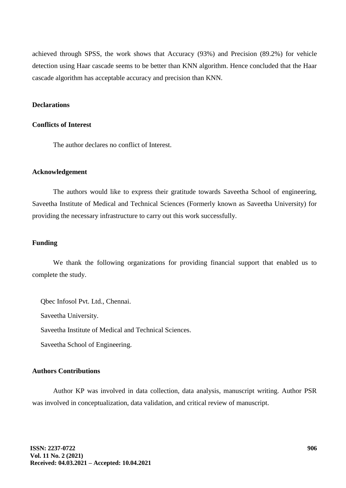achieved through SPSS, the work shows that Accuracy (93%) and Precision (89.2%) for vehicle detection using Haar cascade seems to be better than KNN algorithm. Hence concluded that the Haar cascade algorithm has acceptable accuracy and precision than KNN.

## **Declarations**

#### **Conflicts of Interest**

The author declares no conflict of Interest.

#### **Acknowledgement**

The authors would like to express their gratitude towards Saveetha School of engineering, Saveetha Institute of Medical and Technical Sciences (Formerly known as Saveetha University) for providing the necessary infrastructure to carry out this work successfully.

#### **Funding**

We thank the following organizations for providing financial support that enabled us to complete the study.

Qbec Infosol Pvt. Ltd., Chennai. Saveetha University. Saveetha Institute of Medical and Technical Sciences. Saveetha School of Engineering.

#### **Authors Contributions**

Author KP was involved in data collection, data analysis, manuscript writing. Author PSR was involved in conceptualization, data validation, and critical review of manuscript.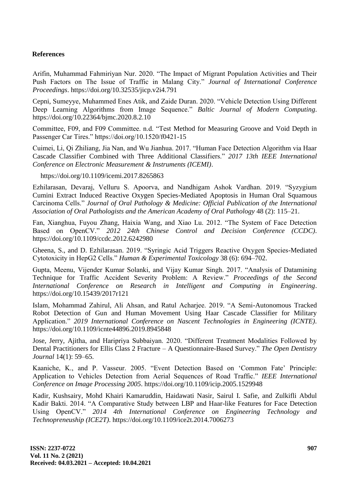## **References**

Arifin, Muhammad Fahmiriyan Nur. 2020. "The Impact of Migrant Population Activities and Their Push Factors on The Issue of Traffic in Malang City." *Journal of International Conference Proceedings*. https://doi.org/10.32535/jicp.v2i4.791

Cepni, Sumeyye, Muhammed Enes Atik, and Zaide Duran. 2020. "Vehicle Detection Using Different Deep Learning Algorithms from Image Sequence." *Baltic Journal of Modern Computing*. https://doi.org/10.22364/bjmc.2020.8.2.10

Committee, F09, and F09 Committee. n.d. "Test Method for Measuring Groove and Void Depth in Passenger Car Tires." https://doi.org/10.1520/f0421-15

Cuimei, Li, Qi Zhiliang, Jia Nan, and Wu Jianhua. 2017. "Human Face Detection Algorithm via Haar Cascade Classifier Combined with Three Additional Classifiers." *2017 13th IEEE International Conference on Electronic Measurement & Instruments (ICEMI)*.

https://doi.org/10.1109/icemi.2017.8265863

Ezhilarasan, Devaraj, Velluru S. Apoorva, and Nandhigam Ashok Vardhan. 2019. "Syzygium Cumini Extract Induced Reactive Oxygen Species-Mediated Apoptosis in Human Oral Squamous Carcinoma Cells." *Journal of Oral Pathology & Medicine: Official Publication of the International Association of Oral Pathologists and the American Academy of Oral Pathology* 48 (2): 115–21.

Fan, Xianghua, Fuyou Zhang, Haixia Wang, and Xiao Lu. 2012. "The System of Face Detection Based on OpenCV." *2012 24th Chinese Control and Decision Conference (CCDC)*. https://doi.org/10.1109/ccdc.2012.6242980

Gheena, S., and D. Ezhilarasan. 2019. "Syringic Acid Triggers Reactive Oxygen Species-Mediated Cytotoxicity in HepG2 Cells." *Human & Experimental Toxicology* 38 (6): 694–702.

Gupta, Meenu, Vijender Kumar Solanki, and Vijay Kumar Singh. 2017. "Analysis of Datamining Technique for Traffic Accident Severity Problem: A Review." *Proceedings of the Second International Conference on Research in Intelligent and Computing in Engineering*. https://doi.org/10.15439/2017r121

Islam, Mohammad Zahirul, Ali Ahsan, and Ratul Acharjee. 2019. "A Semi-Autonomous Tracked Robot Detection of Gun and Human Movement Using Haar Cascade Classifier for Military Application." *2019 International Conference on Nascent Technologies in Engineering (ICNTE)*. https://doi.org/10.1109/icnte44896.2019.8945848

Jose, Jerry, Ajitha, and Haripriya Subbaiyan. 2020. "Different Treatment Modalities Followed by Dental Practitioners for Ellis Class 2 Fracture – A Questionnaire-Based Survey." *The Open Dentistry Journal* 14(1): 59–65.

Kaaniche, K., and P. Vasseur. 2005. "Event Detection Based on "Common Fate" Principle: Application to Vehicles Detection from Aerial Sequences of Road Traffic." *IEEE International Conference on Image Processing 2005*. https://doi.org/10.1109/icip.2005.1529948

Kadir, Kushsairy, Mohd Khairi Kamaruddin, Haidawati Nasir, Sairul I. Safie, and Zulkifli Abdul Kadir Bakti. 2014. "A Comparative Study between LBP and Haar-like Features for Face Detection Using OpenCV." *2014 4th International Conference on Engineering Technology and Technopreneuship (ICE2T)*. https://doi.org/10.1109/ice2t.2014.7006273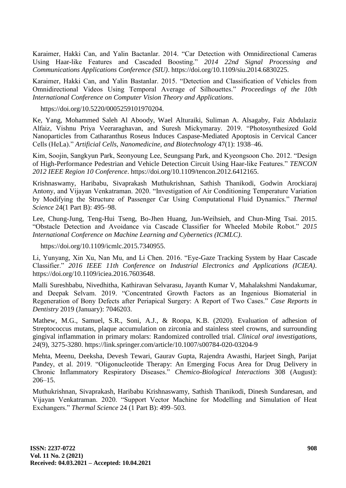Karaimer, Hakki Can, and Yalin Bactanlar. 2014. "Car Detection with Omnidirectional Cameras Using Haar-like Features and Cascaded Boosting." *2014 22nd Signal Processing and Communications Applications Conference (SIU)*. https://doi.org/10.1109/siu.2014.6830225.

Karaimer, Hakki Can, and Yalin Bastanlar. 2015. "Detection and Classification of Vehicles from Omnidirectional Videos Using Temporal Average of Silhouettes." *Proceedings of the 10th International Conference on Computer Vision Theory and Applications*.

https://doi.org/10.5220/0005259101970204.

Ke, Yang, Mohammed Saleh Al Aboody, Wael Alturaiki, Suliman A. Alsagaby, Faiz Abdulaziz Alfaiz, Vishnu Priya Veeraraghavan, and Suresh Mickymaray. 2019. "Photosynthesized Gold Nanoparticles from Catharanthus Roseus Induces Caspase-Mediated Apoptosis in Cervical Cancer Cells (HeLa)." *Artificial Cells, Nanomedicine, and Biotechnology* 47(1): 1938–46.

Kim, Soojin, Sangkyun Park, Seonyoung Lee, Seungsang Park, and Kyeongsoon Cho. 2012. "Design of High-Performance Pedestrian and Vehicle Detection Circuit Using Haar-like Features." *TENCON 2012 IEEE Region 10 Conference*. https://doi.org/10.1109/tencon.2012.6412165.

Krishnaswamy, Haribabu, Sivaprakash Muthukrishnan, Sathish Thanikodi, Godwin Arockiaraj Antony, and Vijayan Venkatraman. 2020. "Investigation of Air Conditioning Temperature Variation by Modifying the Structure of Passenger Car Using Computational Fluid Dynamics." *Thermal Science* 24(1 Part B): 495–98.

Lee, Chung-Jung, Teng-Hui Tseng, Bo-Jhen Huang, Jun-Weihsieh, and Chun-Ming Tsai. 2015. "Obstacle Detection and Avoidance via Cascade Classifier for Wheeled Mobile Robot." *2015 International Conference on Machine Learning and Cybernetics (ICMLC)*.

https://doi.org/10.1109/icmlc.2015.7340955.

Li, Yunyang, Xin Xu, Nan Mu, and Li Chen. 2016. "Eye-Gaze Tracking System by Haar Cascade Classifier." *2016 IEEE 11th Conference on Industrial Electronics and Applications (ICIEA)*. https://doi.org/10.1109/iciea.2016.7603648.

Malli Sureshbabu, Nivedhitha, Kathiravan Selvarasu, Jayanth Kumar V, Mahalakshmi Nandakumar, and Deepak Selvam. 2019. "Concentrated Growth Factors as an Ingenious Biomaterial in Regeneration of Bony Defects after Periapical Surgery: A Report of Two Cases." *Case Reports in Dentistry* 2019 (January): 7046203.

Mathew, M.G., Samuel, S.R., Soni, A.J., & Roopa, K.B. (2020). Evaluation of adhesion of Streptococcus mutans, plaque accumulation on zirconia and stainless steel crowns, and surrounding gingival inflammation in primary molars: Randomized controlled trial. *Clinical oral investigations, 24*(9), 3275-3280. https://link.springer.com/article/10.1007/s00784-020-03204-9

Mehta, Meenu, Deeksha, Devesh Tewari, Gaurav Gupta, Rajendra Awasthi, Harjeet Singh, Parijat Pandey, et al. 2019. "Oligonucleotide Therapy: An Emerging Focus Area for Drug Delivery in Chronic Inflammatory Respiratory Diseases." *Chemico-Biological Interactions* 308 (August): 206–15.

Muthukrishnan, Sivaprakash, Haribabu Krishnaswamy, Sathish Thanikodi, Dinesh Sundaresan, and Vijayan Venkatraman. 2020. "Support Vector Machine for Modelling and Simulation of Heat Exchangers." *Thermal Science* 24 (1 Part B): 499–503.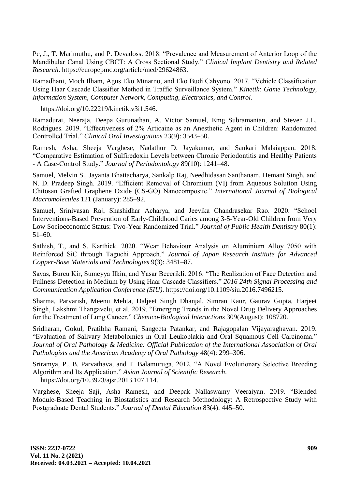Pc, J., T. Marimuthu, and P. Devadoss. 2018. "Prevalence and Measurement of Anterior Loop of the Mandibular Canal Using CBCT: A Cross Sectional Study." *Clinical Implant Dentistry and Related Research*. https://europepmc.org/article/med/29624863.

Ramadhani, Moch Ilham, Agus Eko Minarno, and Eko Budi Cahyono. 2017. "Vehicle Classification Using Haar Cascade Classifier Method in Traffic Surveillance System." *Kinetik: Game Technology, Information System, Computer Network, Computing, Electronics, and Control*.

https://doi.org/10.22219/kinetik.v3i1.546.

Ramadurai, Neeraja, Deepa Gurunathan, A. Victor Samuel, Emg Subramanian, and Steven J.L. Rodrigues. 2019. "Effectiveness of 2% Articaine as an Anesthetic Agent in Children: Randomized Controlled Trial." *Clinical Oral Investigations* 23(9): 3543–50.

Ramesh, Asha, Sheeja Varghese, Nadathur D. Jayakumar, and Sankari Malaiappan. 2018. "Comparative Estimation of Sulfiredoxin Levels between Chronic Periodontitis and Healthy Patients - A Case-Control Study." *Journal of Periodontology* 89(10): 1241–48.

Samuel, Melvin S., Jayanta Bhattacharya, Sankalp Raj, Needhidasan Santhanam, Hemant Singh, and N. D. Pradeep Singh. 2019. "Efficient Removal of Chromium (VI) from Aqueous Solution Using Chitosan Grafted Graphene Oxide (CS-GO) Nanocomposite." *International Journal of Biological Macromolecules* 121 (January): 285–92.

Samuel, Srinivasan Raj, Shashidhar Acharya, and Jeevika Chandrasekar Rao. 2020. "School Interventions-Based Prevention of Early-Childhood Caries among 3-5-Year-Old Children from Very Low Socioeconomic Status: Two-Year Randomized Trial." *Journal of Public Health Dentistry* 80(1): 51–60.

Sathish, T., and S. Karthick. 2020. "Wear Behaviour Analysis on Aluminium Alloy 7050 with Reinforced SiC through Taguchi Approach." *Journal of Japan Research Institute for Advanced Copper-Base Materials and Technologies* 9(3): 3481–87.

Savas, Burcu Kir, Sumeyya Ilkin, and Yasar Becerikli. 2016. "The Realization of Face Detection and Fullness Detection in Medium by Using Haar Cascade Classifiers." *2016 24th Signal Processing and Communication Application Conference (SIU)*. https://doi.org/10.1109/siu.2016.7496215.

Sharma, Parvarish, Meenu Mehta, Daljeet Singh Dhanjal, Simran Kaur, Gaurav Gupta, Harjeet Singh, Lakshmi Thangavelu, et al. 2019. "Emerging Trends in the Novel Drug Delivery Approaches for the Treatment of Lung Cancer." *Chemico-Biological Interactions* 309(August): 108720.

Sridharan, Gokul, Pratibha Ramani, Sangeeta Patankar, and Rajagopalan Vijayaraghavan. 2019. "Evaluation of Salivary Metabolomics in Oral Leukoplakia and Oral Squamous Cell Carcinoma." *Journal of Oral Pathology & Medicine: Official Publication of the International Association of Oral Pathologists and the American Academy of Oral Pathology* 48(4): 299–306.

Sriramya, P., B. Parvathava, and T. Balamuruga. 2012. "A Novel Evolutionary Selective Breeding Algorithm and Its Application." *Asian Journal of Scientific Research*. https://doi.org/10.3923/ajsr.2013.107.114.

Varghese, Sheeja Saji, Asha Ramesh, and Deepak Nallaswamy Veeraiyan. 2019. "Blended Module-Based Teaching in Biostatistics and Research Methodology: A Retrospective Study with Postgraduate Dental Students." *Journal of Dental Education* 83(4): 445–50.